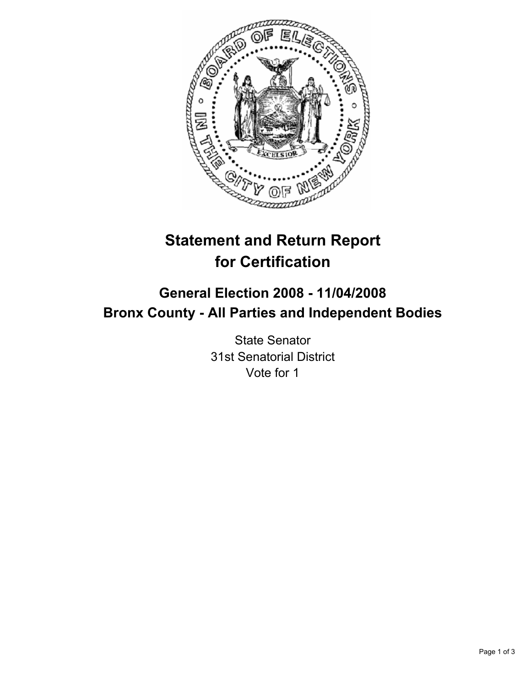

# **Statement and Return Report for Certification**

## **General Election 2008 - 11/04/2008 Bronx County - All Parties and Independent Bodies**

State Senator 31st Senatorial District Vote for 1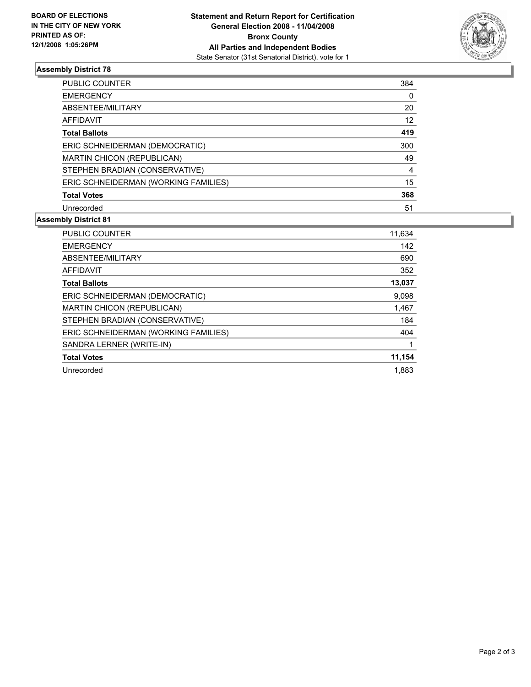

### **Assembly District 78**

| PUBLIC COUNTER                       | 384 |
|--------------------------------------|-----|
| <b>EMERGENCY</b>                     |     |
| ABSENTEE/MILITARY                    | 20  |
| AFFIDAVIT                            | 12  |
| <b>Total Ballots</b>                 | 419 |
| ERIC SCHNEIDERMAN (DEMOCRATIC)       | 300 |
| MARTIN CHICON (REPUBLICAN)           | 49  |
| STEPHEN BRADIAN (CONSERVATIVE)       | 4   |
| ERIC SCHNEIDERMAN (WORKING FAMILIES) | 15  |
| <b>Total Votes</b>                   | 368 |
| Unrecorded                           | 51  |

### **Assembly District 81**

| <b>PUBLIC COUNTER</b>                | 11,634 |
|--------------------------------------|--------|
| <b>EMERGENCY</b>                     | 142    |
| ABSENTEE/MILITARY                    | 690    |
| AFFIDAVIT                            | 352    |
| <b>Total Ballots</b>                 | 13,037 |
| ERIC SCHNEIDERMAN (DEMOCRATIC)       | 9,098  |
| <b>MARTIN CHICON (REPUBLICAN)</b>    | 1,467  |
| STEPHEN BRADIAN (CONSERVATIVE)       | 184    |
| ERIC SCHNEIDERMAN (WORKING FAMILIES) | 404    |
| SANDRA LERNER (WRITE-IN)             |        |
| <b>Total Votes</b>                   | 11,154 |
| Unrecorded                           | 1.883  |